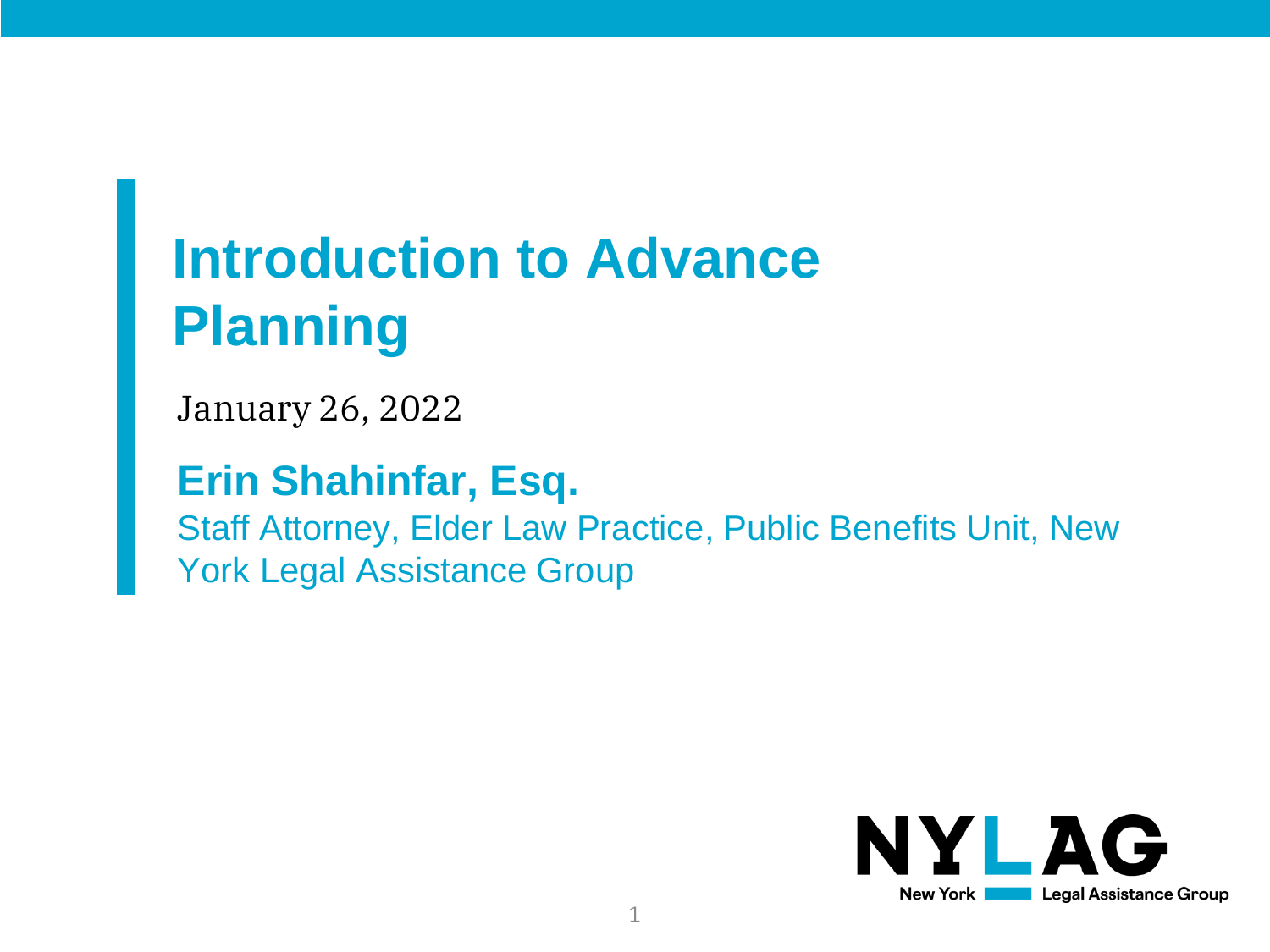## **Introduction to Advance Planning**

January 26, 2022

#### **Erin Shahinfar, Esq.**

Staff Attorney, Elder Law Practice, Public Benefits Unit, New York Legal Assistance Group

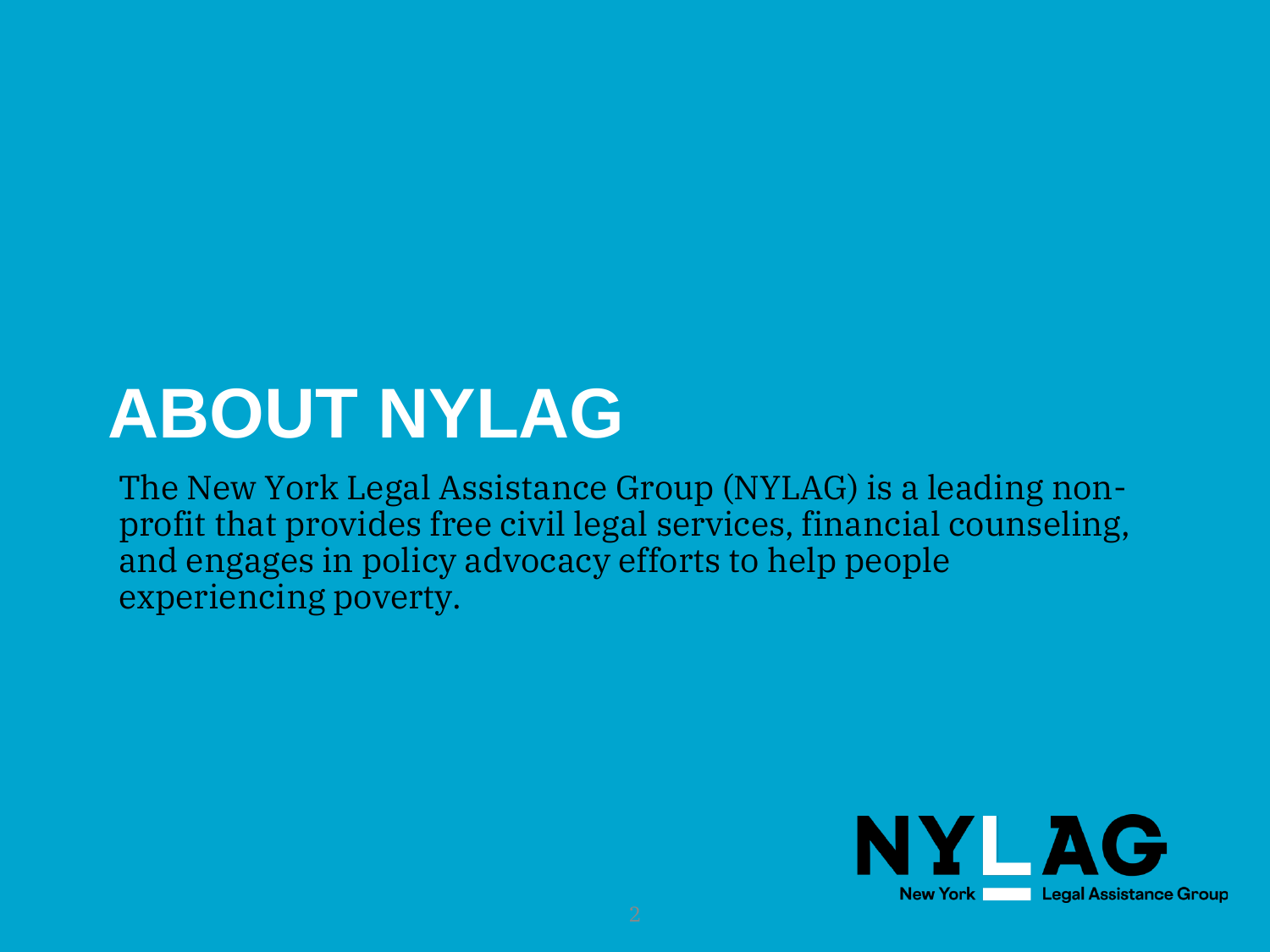# **ABOUT NYLAG**

The New York Legal Assistance Group (NYLAG) is a leading nonprofit that provides free civil legal services, financial counseling, and engages in policy advocacy efforts to help people experiencing poverty.

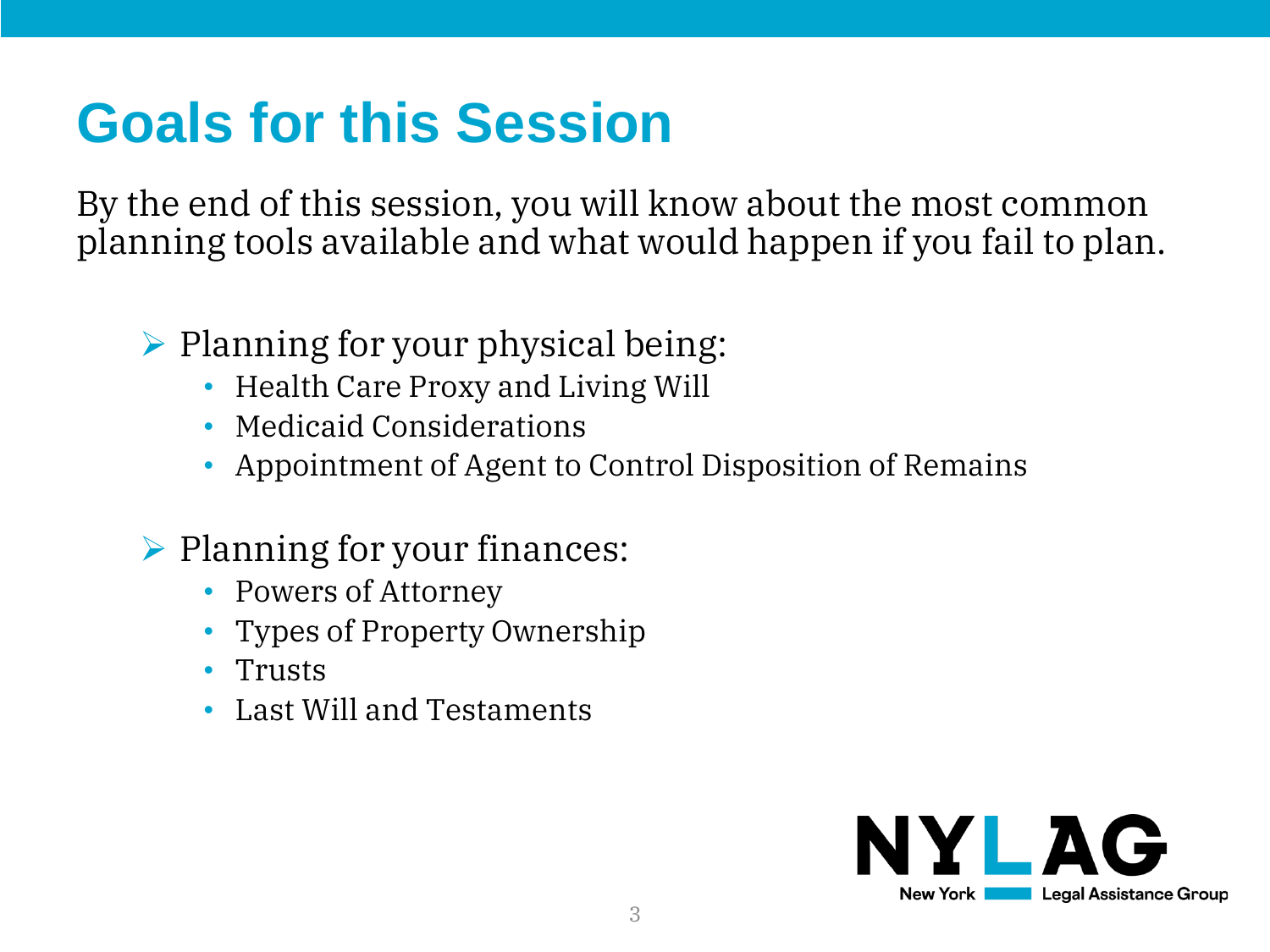### **Goals for this Session**

By the end of this session, you will know about the most common planning tools available and what would happen if you fail to plan.

- ➢ Planning for your physical being:
	- Health Care Proxy and Living Will
	- Medicaid Considerations
	- Appointment of Agent to Control Disposition of Remains
- ➢ Planning for your finances:
	- Powers of Attorney
	- Types of Property Ownership
	- Trusts
	- Last Will and Testaments

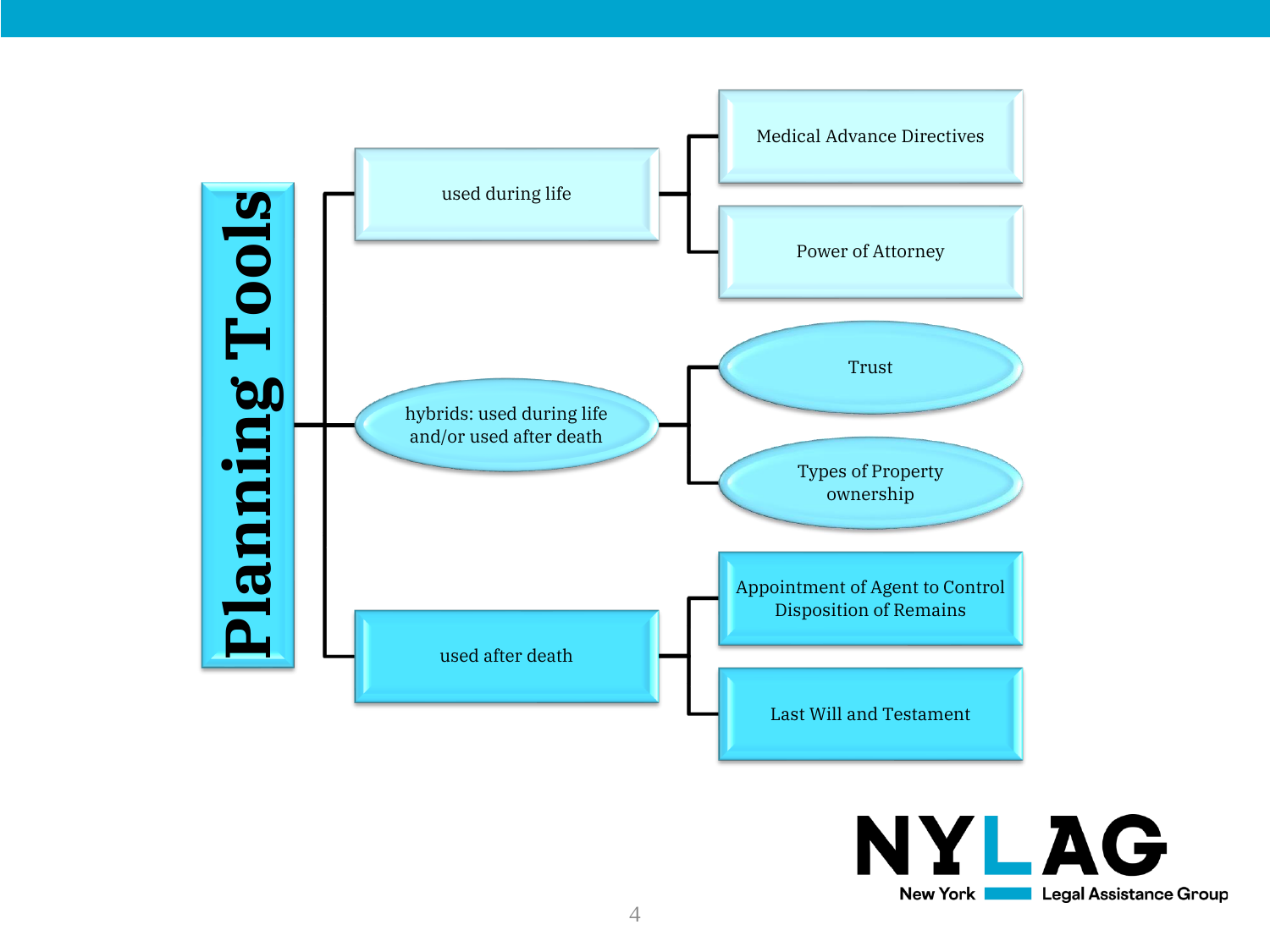

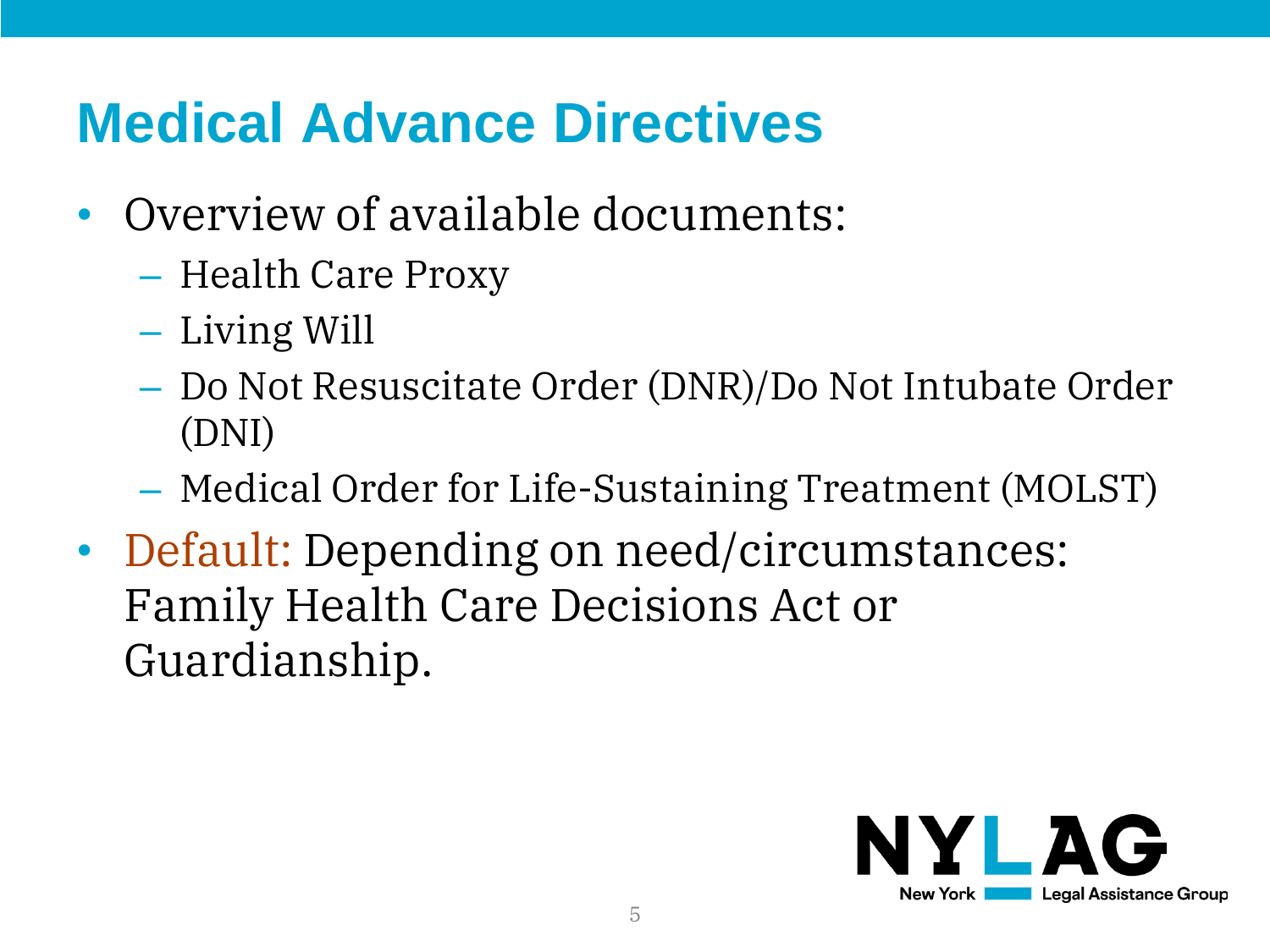### **Medical Advance Directives**

- Overview of available documents:
	- Health Care Proxy
	- Living Will
	- Do Not Resuscitate Order (DNR)/Do Not Intubate Order (DNI)
	- Medical Order for Life-Sustaining Treatment (MOLST)
- Default: Depending on need/circumstances: Family Health Care Decisions Act or Guardianship.

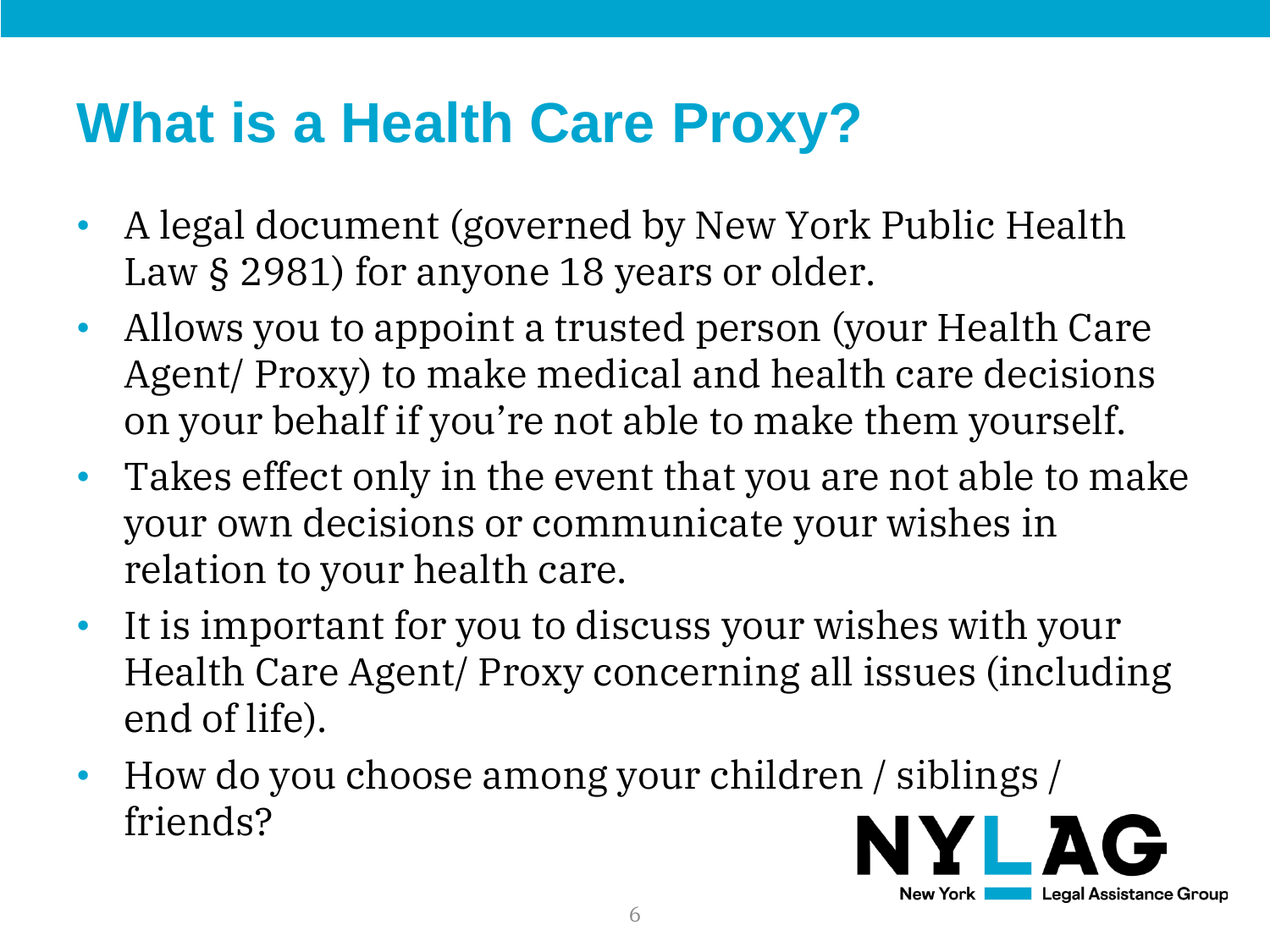### **What is a Health Care Proxy?**

- A legal document (governed by New York Public Health Law § 2981) for anyone 18 years or older.
- Allows you to appoint a trusted person (your Health Care Agent/ Proxy) to make medical and health care decisions on your behalf if you're not able to make them yourself.
- Takes effect only in the event that you are not able to make your own decisions or communicate your wishes in relation to your health care.
- It is important for you to discuss your wishes with your Health Care Agent/ Proxy concerning all issues (including end of life).
- How do you choose among your children / siblings / friends?

**New York** I

Legal Assistance Group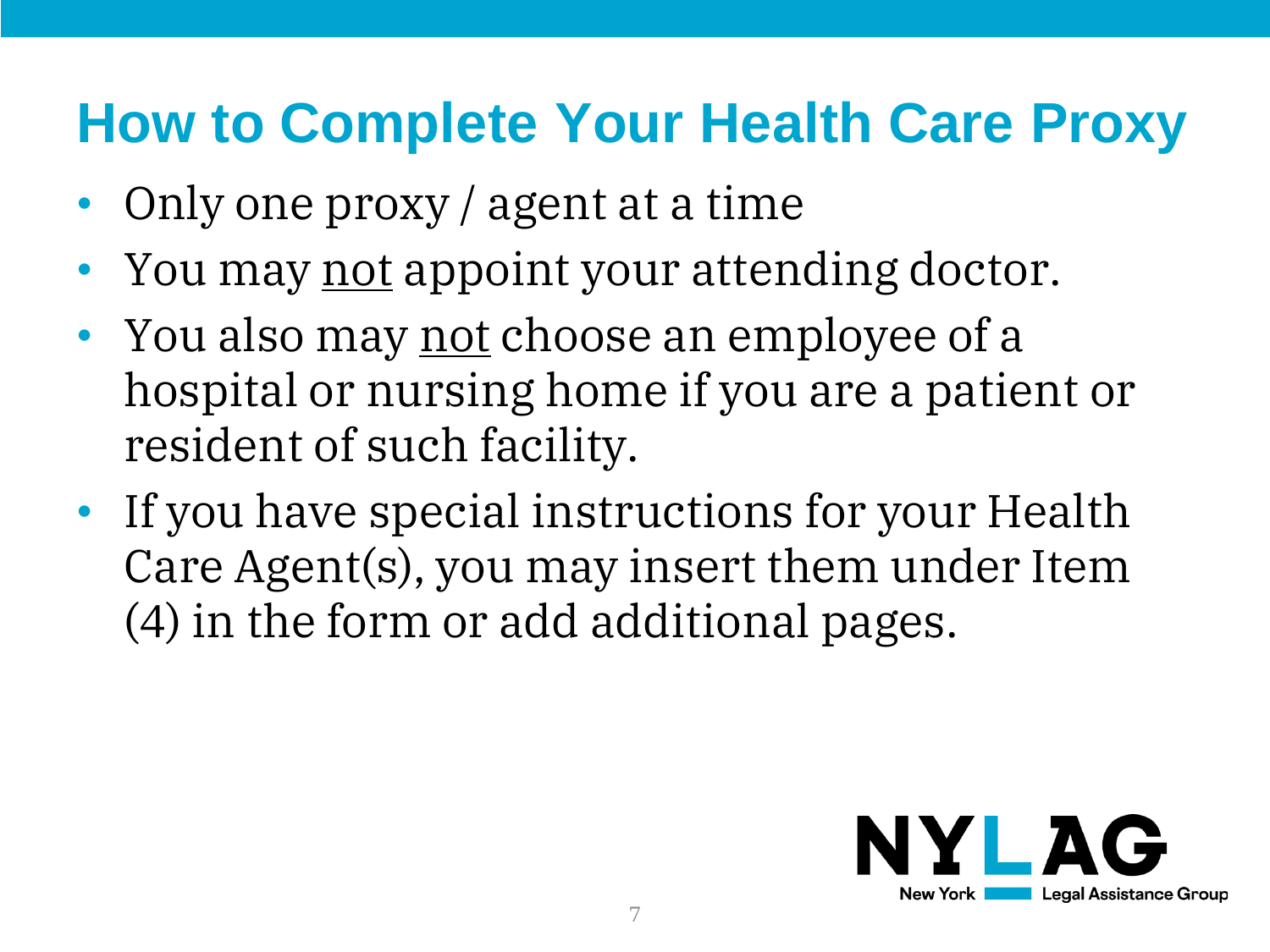#### **How to Complete Your Health Care Proxy**

- Only one proxy / agent at a time
- You may not appoint your attending doctor.
- You also may not choose an employee of a hospital or nursing home if you are a patient or resident of such facility.
- If you have special instructions for your Health Care Agent(s), you may insert them under Item (4) in the form or add additional pages.

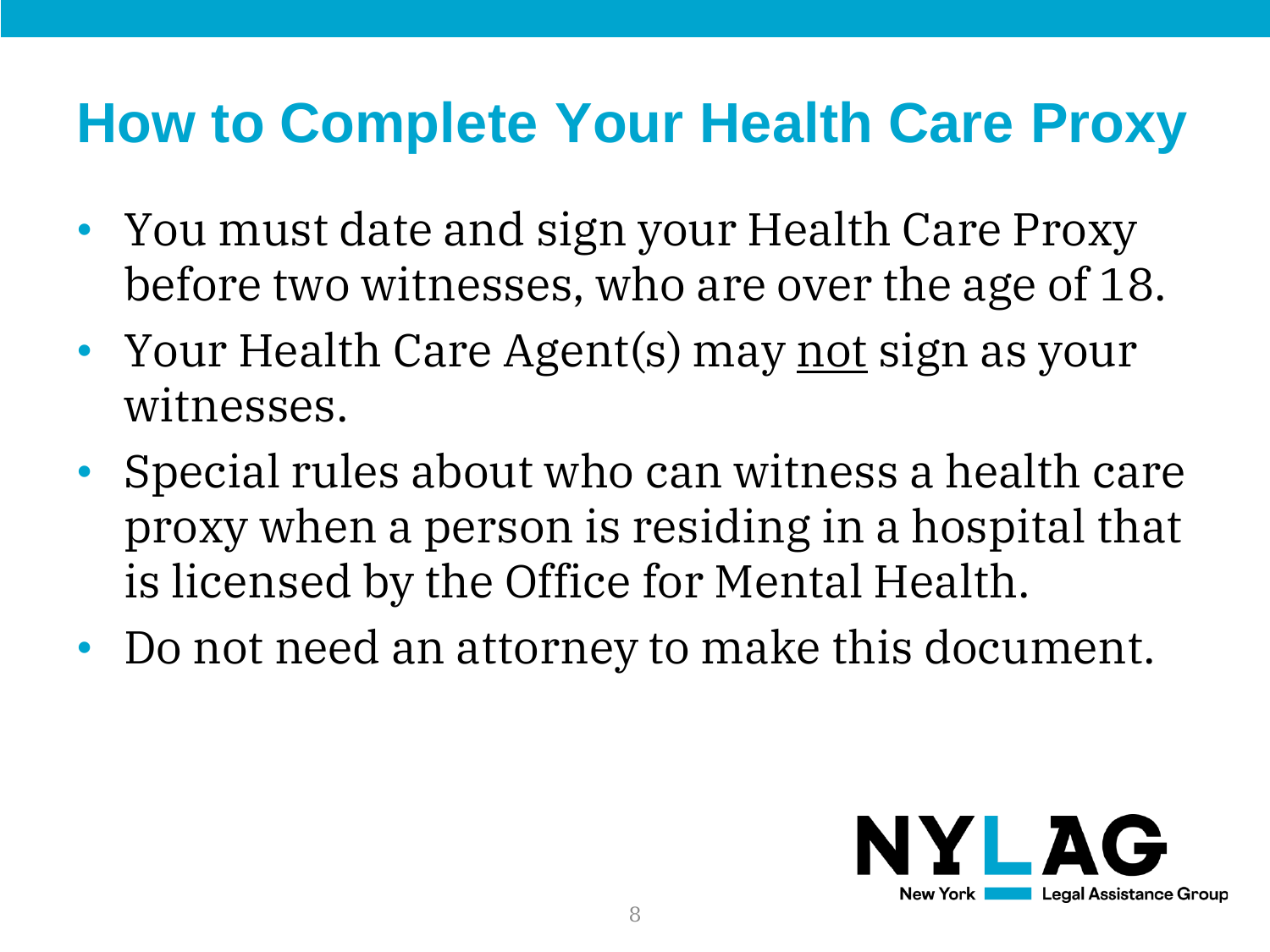#### **How to Complete Your Health Care Proxy**

- You must date and sign your Health Care Proxy before two witnesses, who are over the age of 18.
- Your Health Care Agent(s) may <u>not</u> sign as your witnesses.
- Special rules about who can witness a health care proxy when a person is residing in a hospital that is licensed by the Office for Mental Health.
- Do not need an attorney to make this document.

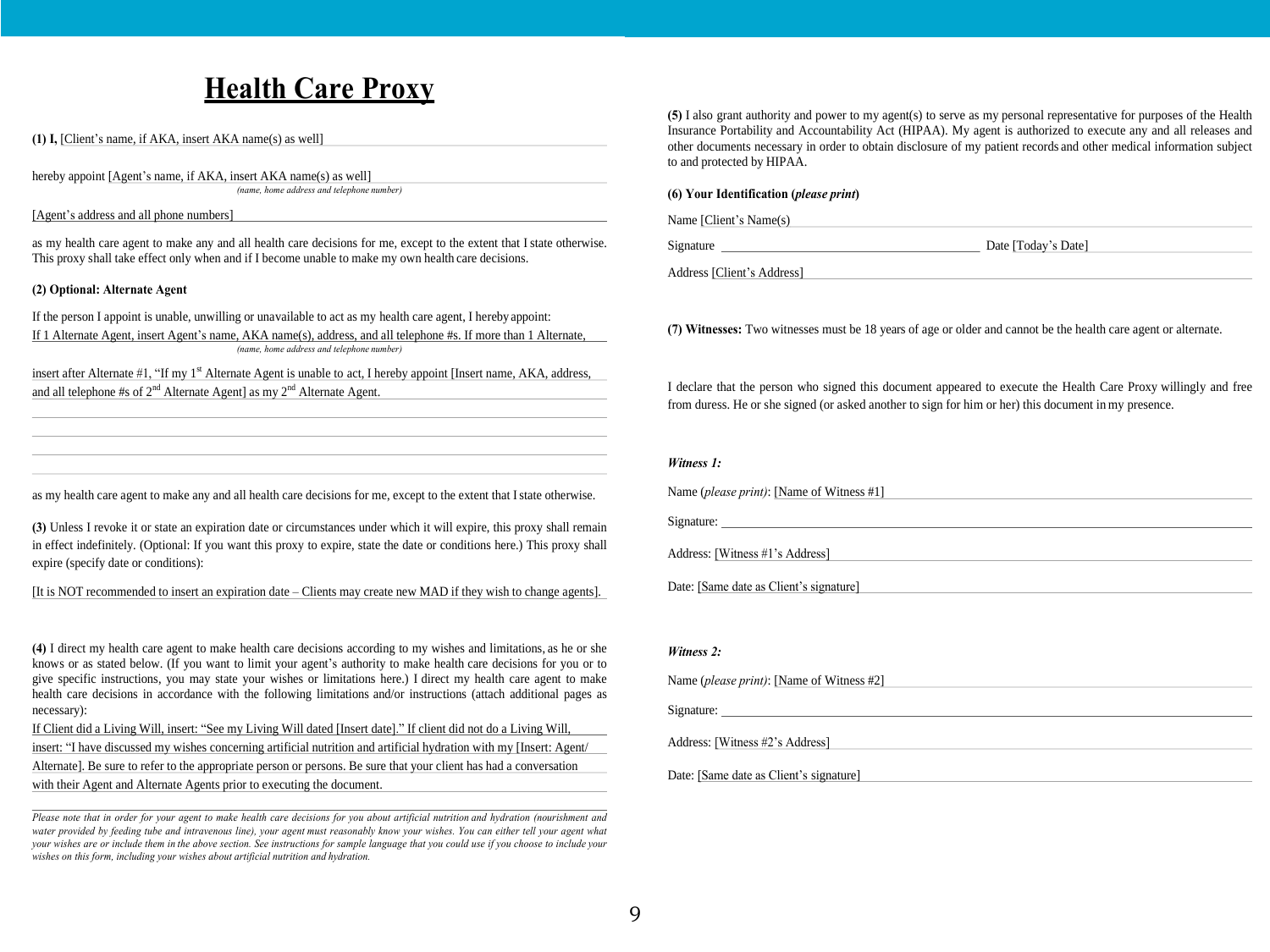#### **Health Care Proxy**

**(1) I,** [Client's name, if AKA, insert AKA name(s) as well]

hereby appoint [Agent's name, if AKA, insert AKA name(s) as well]

*(name, home address and telephone number)*

[Agent's address and all phone numbers]

as my health care agent to make any and all health care decisions for me, except to the extent that I state otherwise. This proxy shall take effect only when and if I become unable to make my own health care decisions.

#### **(2) Optional: Alternate Agent**

If the person I appoint is unable, unwilling or unavailable to act as my health care agent, I hereby appoint: If 1 Alternate Agent, insert Agent's name, AKA name(s), address, and all telephone #s. If more than 1 Alternate, *(name, home address and telephone number)*

insert after Alternate #1, "If my 1<sup>st</sup> Alternate Agent is unable to act, I hereby appoint [Insert name, AKA, address, and all telephone #s of  $2<sup>nd</sup>$  Alternate Agentl as my  $2<sup>nd</sup>$  Alternate Agent.

**(5)** I also gran<sup>t</sup> authority and power to my agent(s) to serve as my personal representative for purposes of the Health Insurance Portability and Accountability Act (HIPAA). My agen<sup>t</sup> is authorized to execute any and all releases and other documents necessary in order to obtain disclosure of my patient records and other medical information subject to and protected by HIPAA.

#### **(6) Your Identification (***please print***)**

| Name [Client's Name(s) |
|------------------------|
|                        |

Address [Client's Address]

**(7) Witnesses:** Two witnesses must be 18 years of age or older and cannot be the health care agent or alternate.

Signature Date [Today's Date]

I declare that the person who signed this document appeared to execute the Health Care Proxy willingly and free from duress. He or she signed (or asked another to sign for him or her) this document in my presence.

#### *Witness 1:*

Name (*please print)*: [Name of Witness #1] Signature: Address: [Witness #1's Address]

Date: [Same date as Client's signature]

#### *Witness 2:*

Name (*please print)*: [Name of Witness #2]

Signature:

Address: [Witness #2's Address]

#### Date: [Same date as Client's signature]

as my health care agent to make any and all health care decisions for me, except to the extent that I state otherwise.

**(3)** Unless I revoke it or state an expiration date or circumstances under which it will expire, this proxy shall remain in effect indefinitely. (Optional: If you want this proxy to expire, state the date or conditions here.) This proxy shall expire (specify date or conditions):

[It is NOT recommended to insert an expiration date – Clients may create new MAD if they wish to change agents].

**(4)** I direct my health care agent to make health care decisions according to my wishes and limitations, as he or she knows or as stated below. (If you want to limit your agent's authority to make health care decisions for you or to give specific instructions, you may state your wishes or limitations here.) I direct my health care agent to make health care decisions in accordance with the following limitations and/or instructions (attach additional pages as necessary):

If Client did a Living Will, insert: "See my Living Will dated [Insert date]." If client did not do a Living Will,

insert: "I have discussed my wishes concerning artificial nutrition and artificial hydration with my [Insert: Agent/ Alternate]. Be sure to refer to the appropriate person or persons. Be sure that your client has had a conversation with their Agent and Alternate Agents prior to executing the document.

Please note that in order for your agent to make health care decisions for you about artificial nutrition and hydration (nourishment and water provided by feeding tube and intravenous line), your agent must reasonably know your wishes. You can either tell vour agent what vour wishes are or include them in the above section. See instructions for sample language that you could use if you choose to include your *wishes on this form, including your wishes about artificial nutrition and hydration.*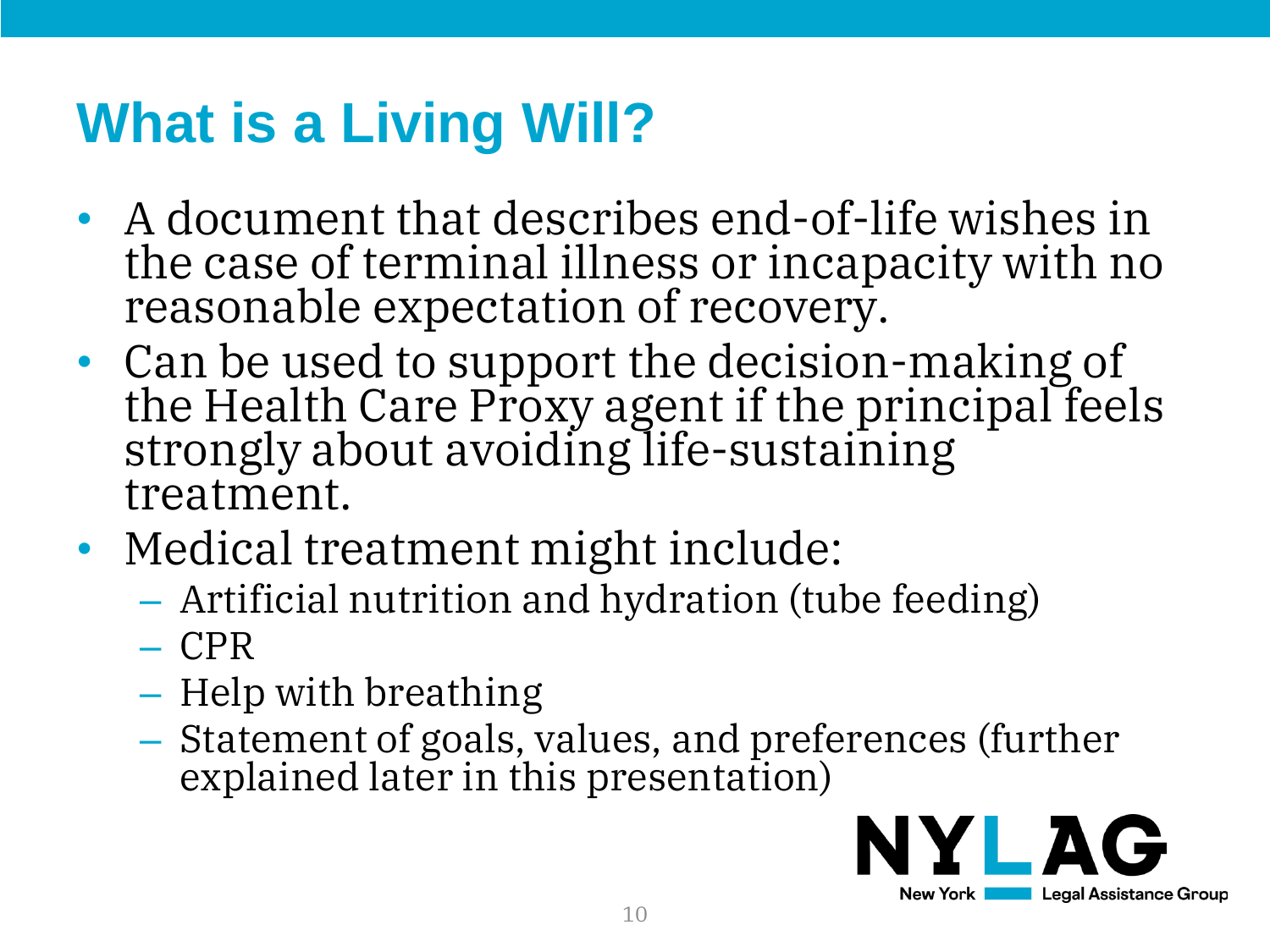## **What is a Living Will?**

- A document that describes end-of-life wishes in the case of terminal illness or incapacity with no reasonable expectation of recovery.
- Can be used to support the decision-making of the Health Care Proxy agent if the principal feels strongly about avoiding life-sustaining treatment.
- Medical treatment might include:
	- Artificial nutrition and hydration (tube feeding)
	- CPR
	- Help with breathing
	- Statement of goals, values, and preferences (further explained later in this presentation)

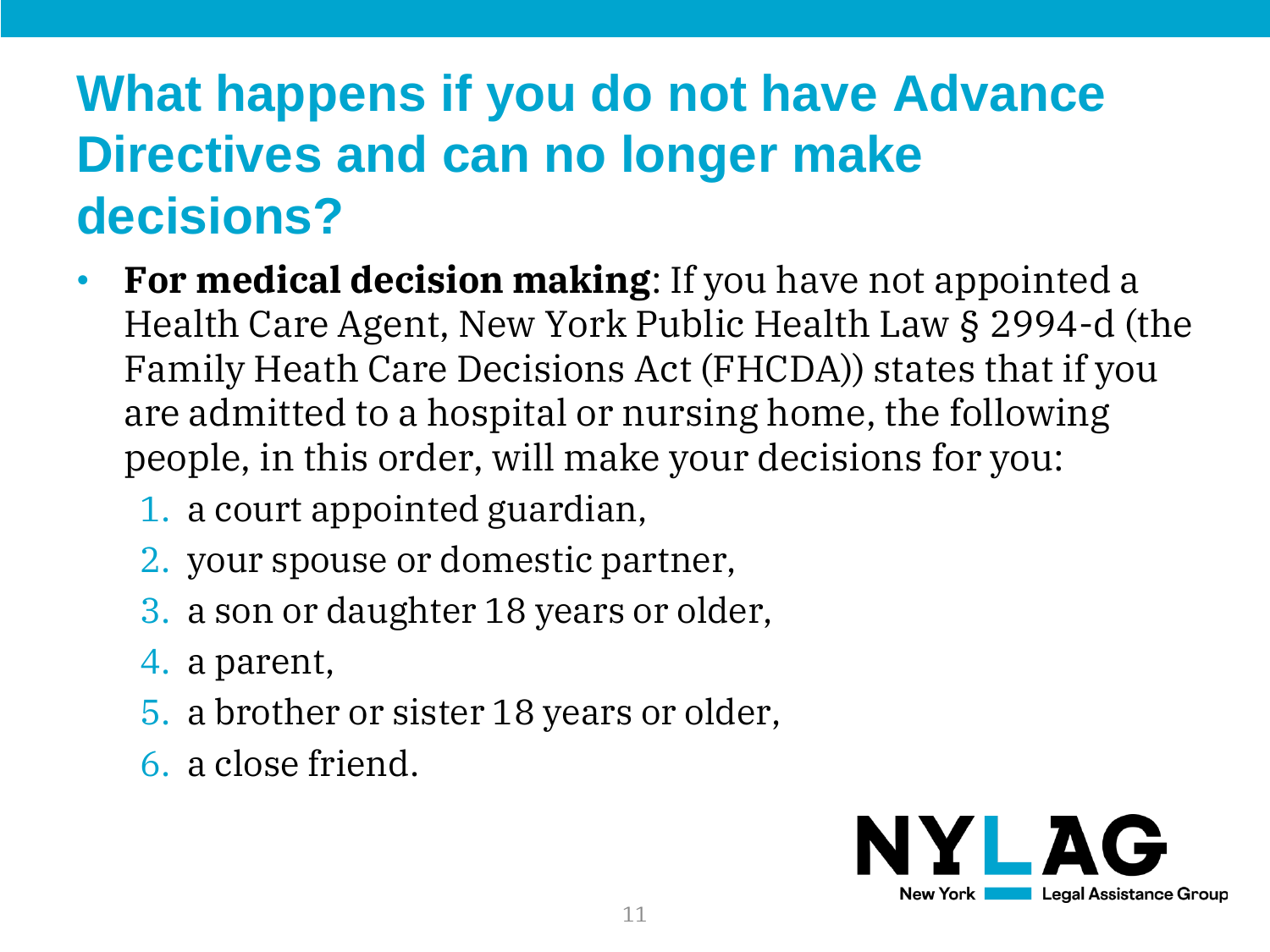#### **What happens if you do not have Advance Directives and can no longer make decisions?**

- **For medical decision making**: If you have not appointed a Health Care Agent, New York Public Health Law § 2994-d (the Family Heath Care Decisions Act (FHCDA)) states that if you are admitted to a hospital or nursing home, the following people, in this order, will make your decisions for you:
	- 1. a court appointed guardian,
	- 2. your spouse or domestic partner,
	- 3. a son or daughter 18 years or older,
	- 4. a parent,
	- 5. a brother or sister 18 years or older,
	- 6. a close friend.

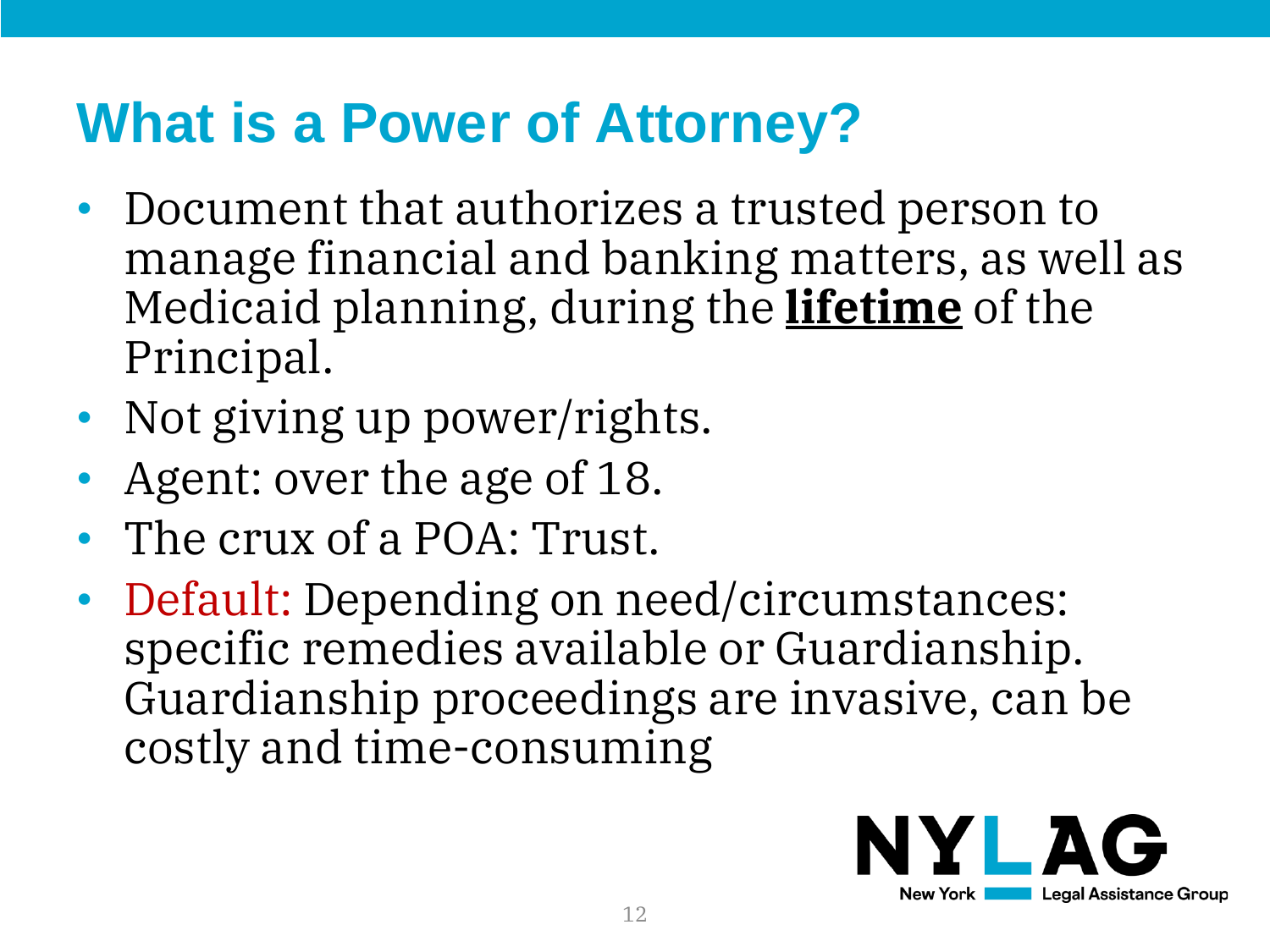### **What is a Power of Attorney?**

- Document that authorizes a trusted person to manage financial and banking matters, as well as Medicaid planning, during the **lifetime** of the Principal.
- Not giving up power/rights.
- Agent: over the age of 18.
- The crux of a POA: Trust.
- Default: Depending on need/circumstances: specific remedies available or Guardianship. Guardianship proceedings are invasive, can be costly and time-consuming

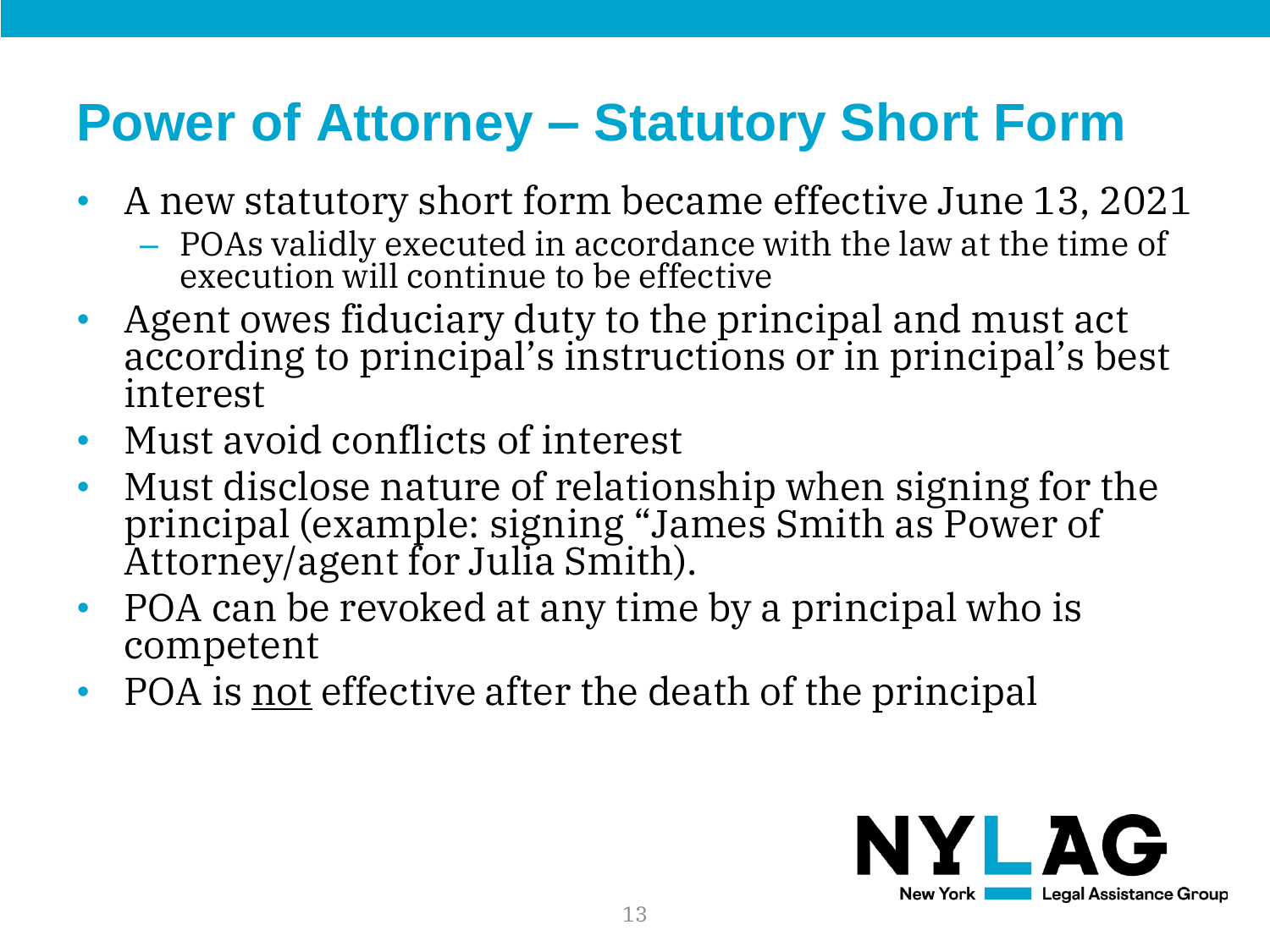- A new statutory short form became effective June 13, 2021
	- POAs validly executed in accordance with the law at the time of execution will continue to be effective
- Agent owes fiduciary duty to the principal and must act according to principal's instructions or in principal's best interest
- Must avoid conflicts of interest
- Must disclose nature of relationship when signing for the principal (example: signing "James Smith as Power of Attorney/agent for Julia Smith).
- POA can be revoked at any time by a principal who is competent
- POA is <u>not</u> effective after the death of the principal

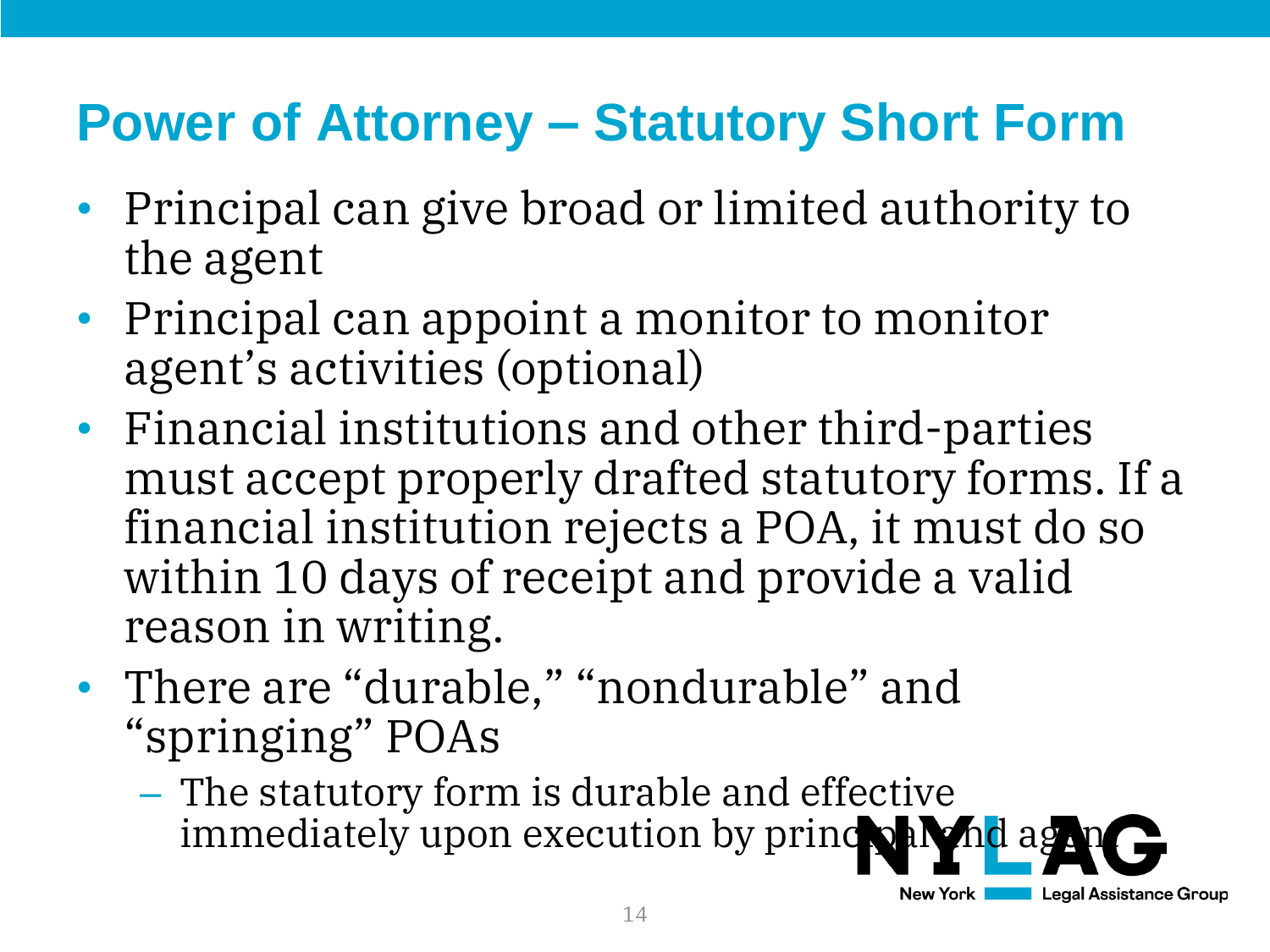- Principal can give broad or limited authority to the agent
- Principal can appoint a monitor to monitor agent's activities (optional)
- Financial institutions and other third-parties must accept properly drafted statutory forms. If a financial institution rejects a POA, it must do so within 10 days of receipt and provide a valid reason in writing.
- There are "durable," "nondurable" and "springing" POAs
	- The statutory form is durable and effective immediately upon execution by principal  $\mathbf{A}$  and agents of  $\mathbf{A}$

New York

**Legal Assistance Group**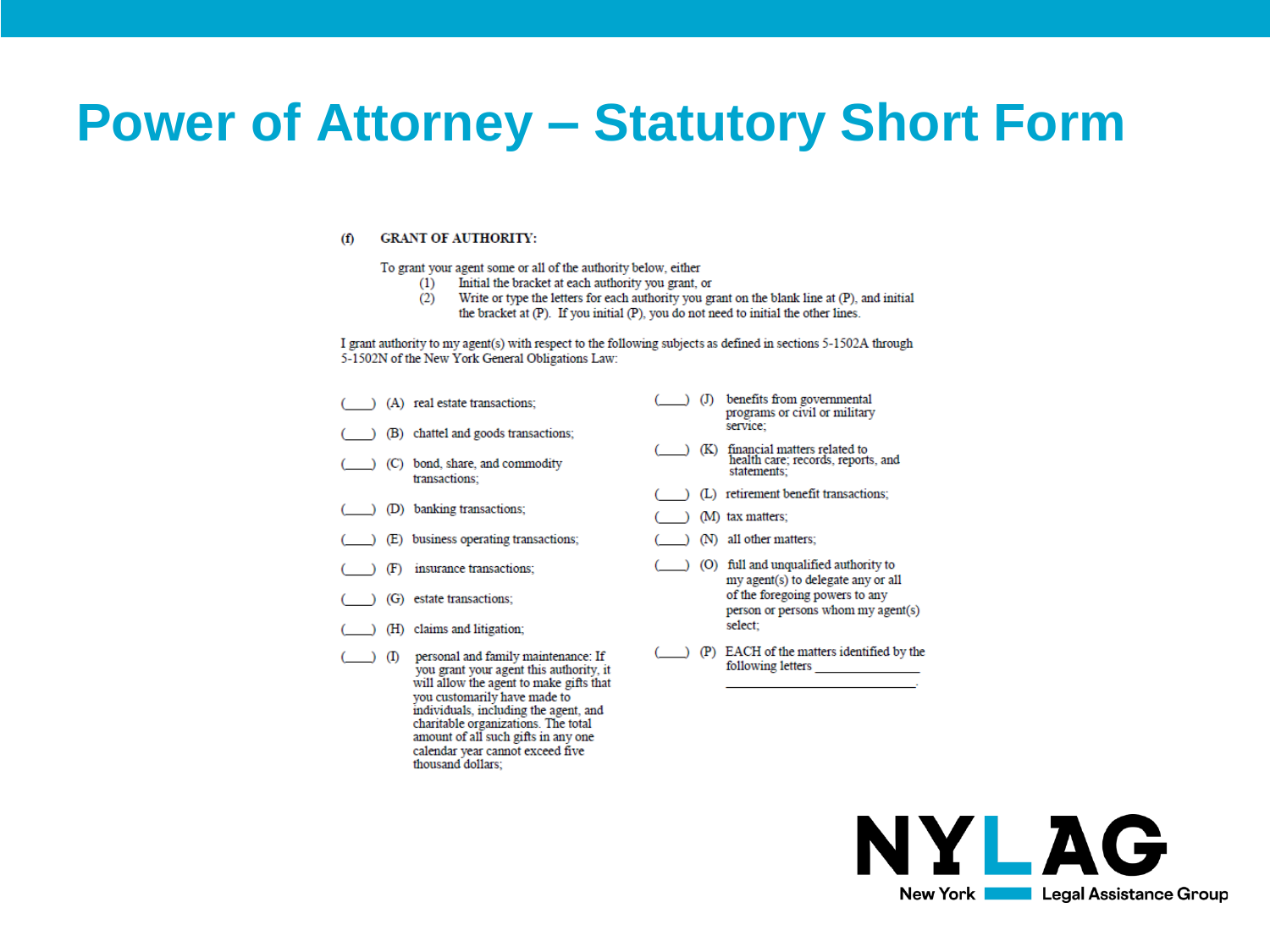#### **GRANT OF AUTHORITY:**  $(f)$

To grant your agent some or all of the authority below, either

you customarily have made to individuals, including the agent, and charitable organizations. The total amount of all such gifts in any one calendar year cannot exceed five

thousand dollars;

- (1) Initial the bracket at each authority you grant, or
- $(2)$ Write or type the letters for each authority you grant on the blank line at (P), and initial the bracket at (P). If you initial (P), you do not need to initial the other lines.

I grant authority to my agent(s) with respect to the following subjects as defined in sections 5-1502A through 5-1502N of the New York General Obligations Law:

|     | (A) real estate transactions;                                                                                             | $\mathcal{L}$ | benefits from governmental<br>programs or civil or military<br>service:           |
|-----|---------------------------------------------------------------------------------------------------------------------------|---------------|-----------------------------------------------------------------------------------|
|     | (B) chattel and goods transactions;                                                                                       |               |                                                                                   |
|     | (C) bond, share, and commodity<br>transactions:                                                                           | (K)           | financial matters related to<br>health care; records, reports, and<br>statements: |
|     |                                                                                                                           |               | (L) retirement benefit transactions;                                              |
|     | (D) banking transactions;                                                                                                 |               | (M) tax matters:                                                                  |
|     | (E) business operating transactions;                                                                                      |               | (N) all other matters;                                                            |
| (F) | insurance transactions:                                                                                                   |               | (O) full and unqualified authority to<br>my agent(s) to delegate any or all       |
|     | (G) estate transactions:                                                                                                  |               | of the foregoing powers to any<br>person or persons whom my agent(s)              |
|     | (H) claims and litigation;                                                                                                |               | select:                                                                           |
| (1) | personal and family maintenance: If<br>you grant your agent this authority, it<br>will allow the agent to make gifts that |               | (P) EACH of the matters identified by the<br>following letters                    |



the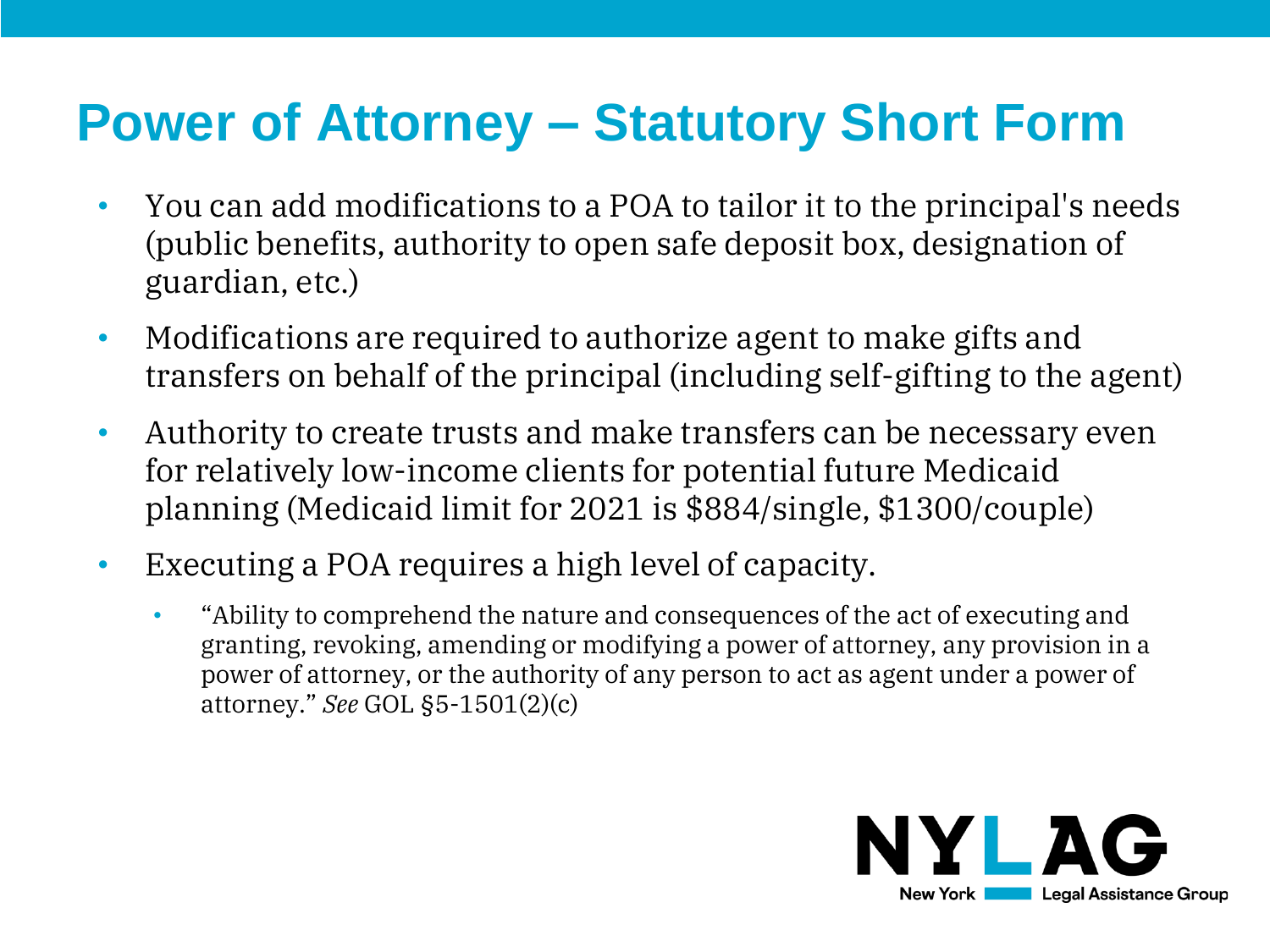- You can add modifications to a POA to tailor it to the principal's needs (public benefits, authority to open safe deposit box, designation of guardian, etc.)
- Modifications are required to authorize agent to make gifts and transfers on behalf of the principal (including self-gifting to the agent)
- Authority to create trusts and make transfers can be necessary even for relatively low-income clients for potential future Medicaid planning (Medicaid limit for 2021 is \$884/single, \$1300/couple)
- Executing a POA requires a high level of capacity.
	- "Ability to comprehend the nature and consequences of the act of executing and granting, revoking, amending or modifying a power of attorney, any provision in a power of attorney, or the authority of any person to act as agent under a power of attorney." *See* GOL §5-1501(2)(c)

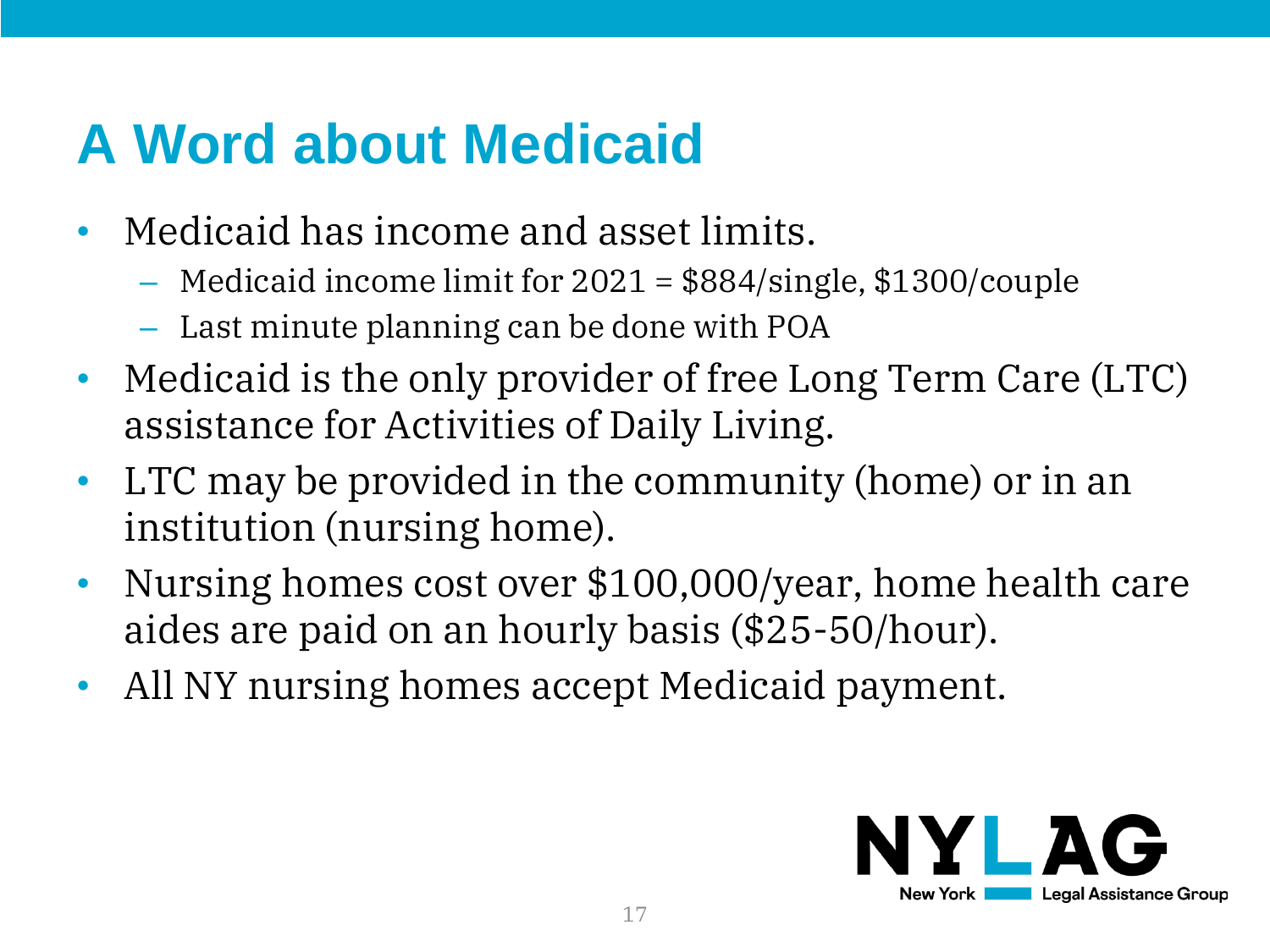### **A Word about Medicaid**

- Medicaid has income and asset limits.
	- Medicaid income limit for 2021 = \$884/single, \$1300/couple
	- Last minute planning can be done with POA
- Medicaid is the only provider of free Long Term Care (LTC) assistance for Activities of Daily Living.
- LTC may be provided in the community (home) or in an institution (nursing home).
- Nursing homes cost over \$100,000/year, home health care aides are paid on an hourly basis (\$25-50/hour).
- All NY nursing homes accept Medicaid payment.

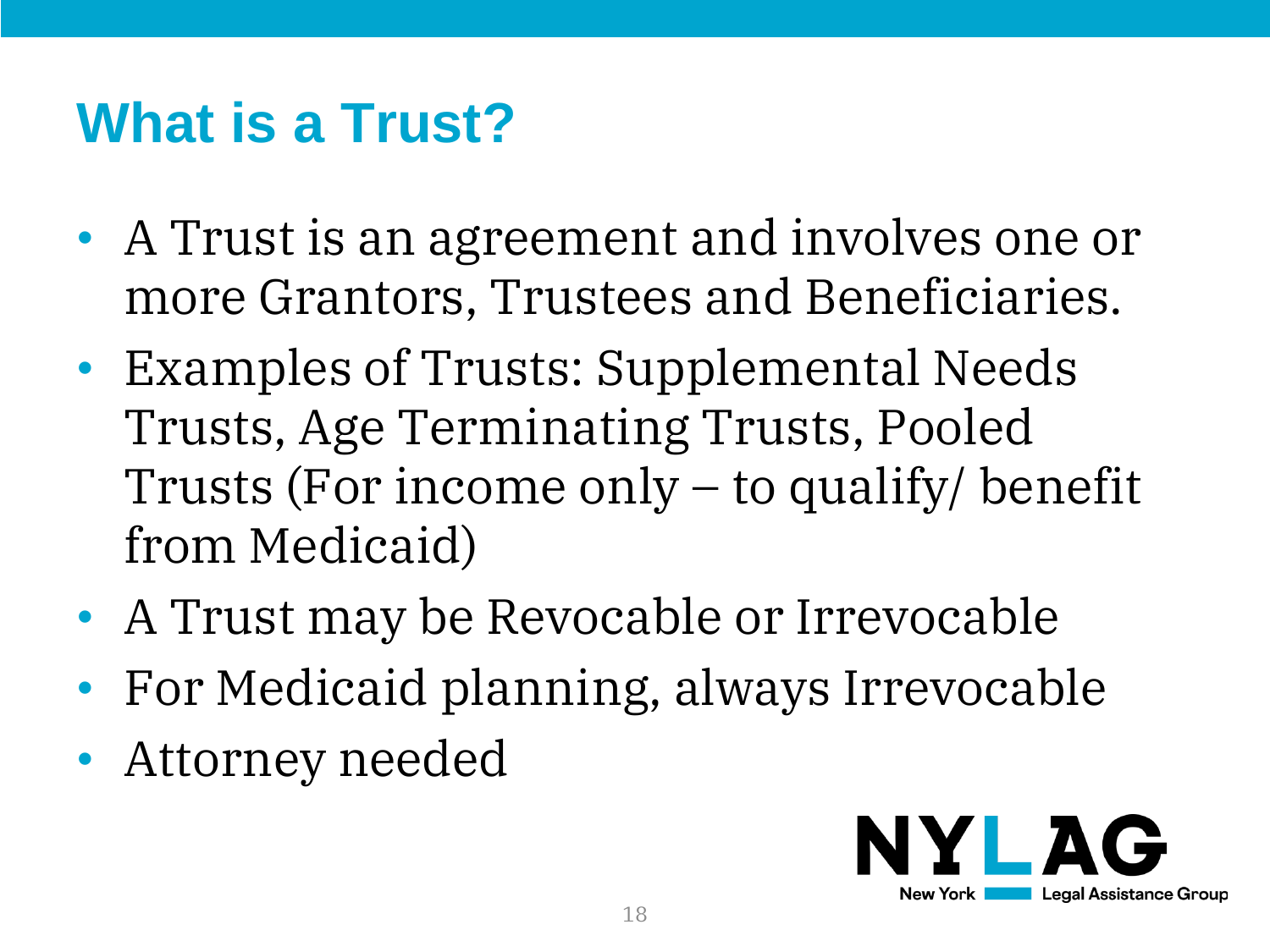#### **What is a Trust?**

- A Trust is an agreement and involves one or more Grantors, Trustees and Beneficiaries.
- Examples of Trusts: Supplemental Needs Trusts, Age Terminating Trusts, Pooled Trusts (For income only – to qualify/ benefit from Medicaid)
- A Trust may be Revocable or Irrevocable
- For Medicaid planning, always Irrevocable
- Attorney needed

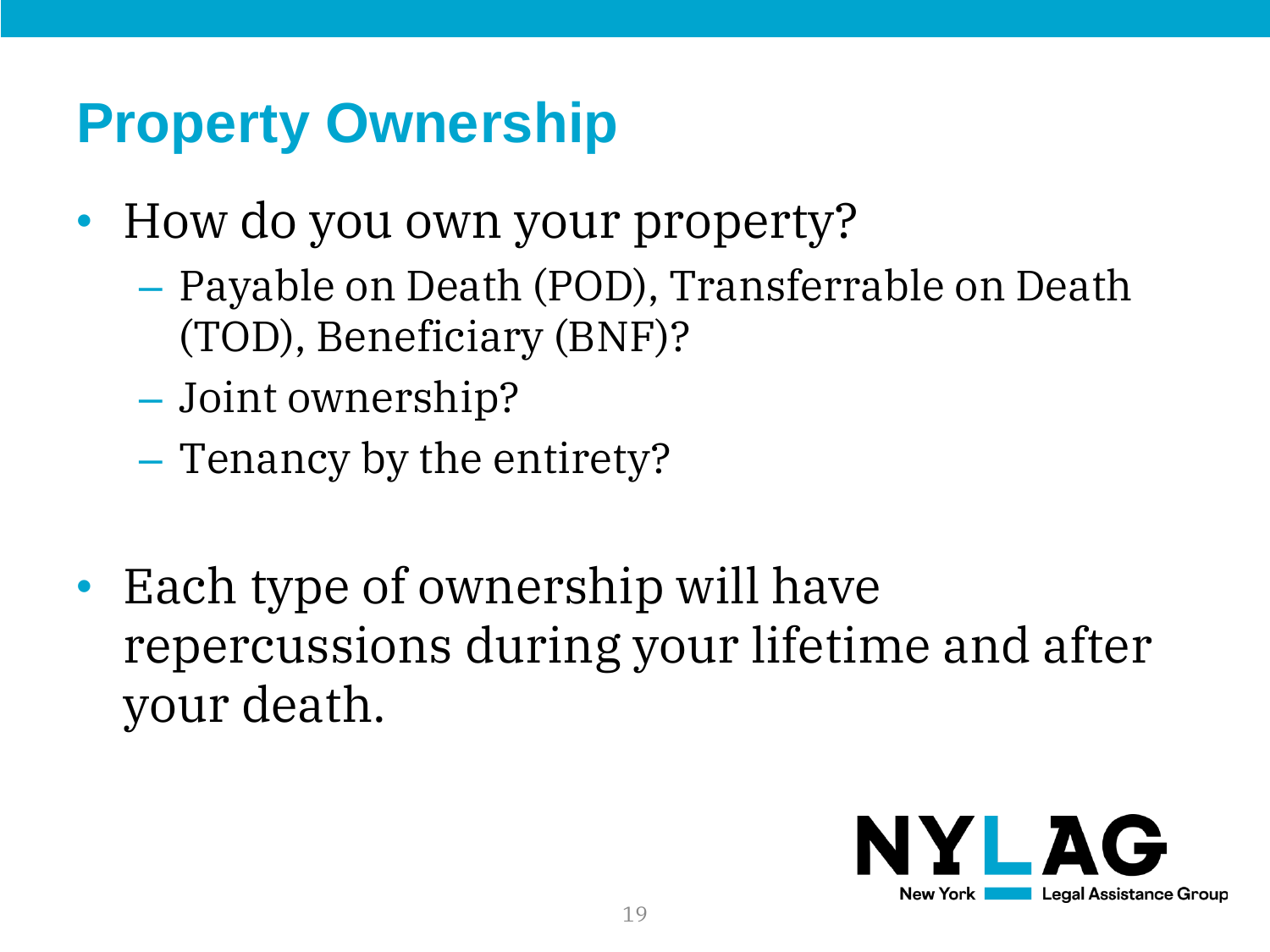#### **Property Ownership**

- How do you own your property?
	- Payable on Death (POD), Transferrable on Death (TOD), Beneficiary (BNF)?
	- Joint ownership?
	- Tenancy by the entirety?
- Each type of ownership will have repercussions during your lifetime and after your death.

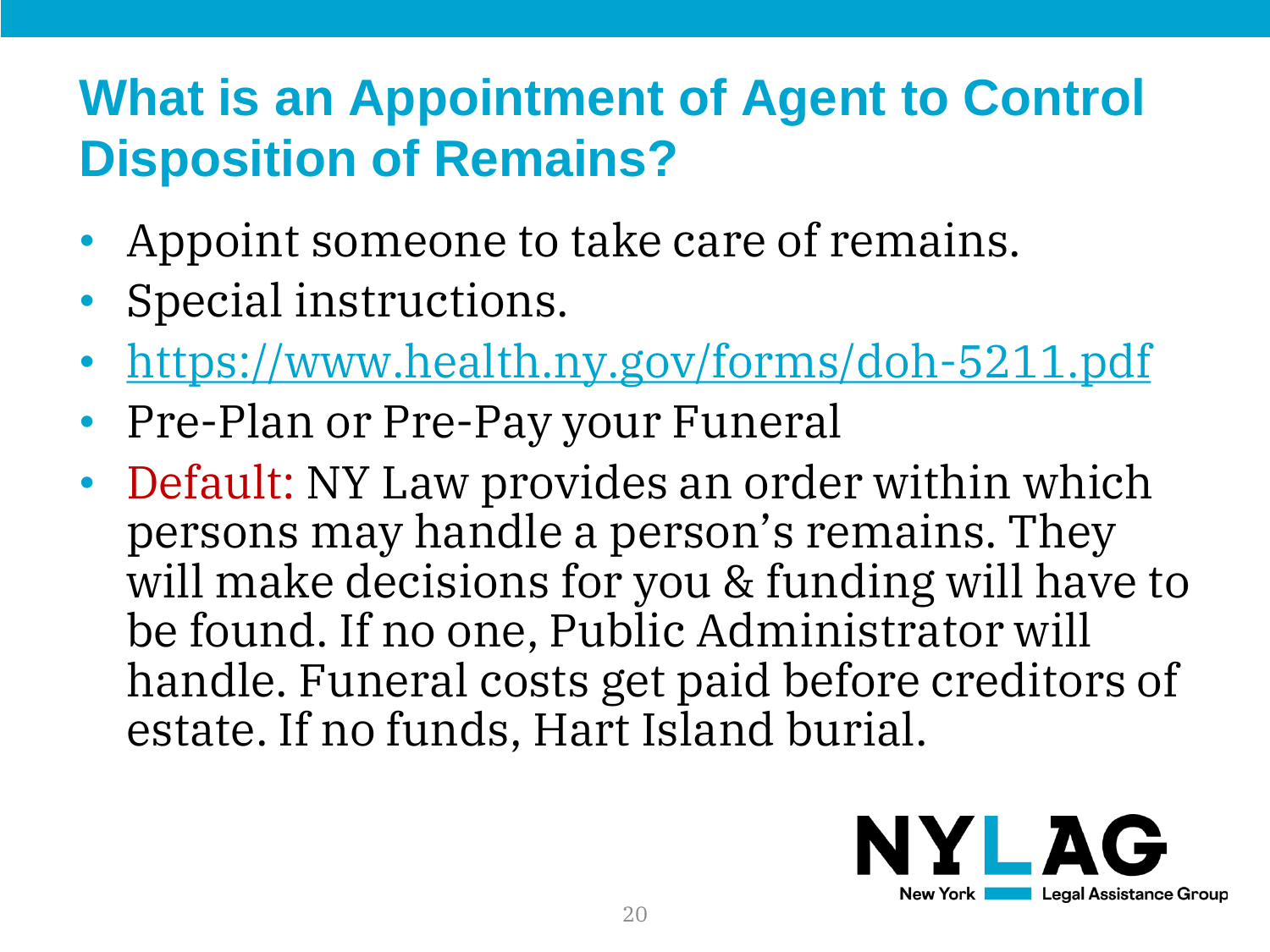#### **What is an Appointment of Agent to Control Disposition of Remains?**

- Appoint someone to take care of remains.
- Special instructions.
- <https://www.health.ny.gov/forms/doh-5211.pdf>
- Pre-Plan or Pre-Pay your Funeral
- Default: NY Law provides an order within which persons may handle a person's remains. They will make decisions for you & funding will have to be found. If no one, Public Administrator will handle. Funeral costs get paid before creditors of estate. If no funds, Hart Island burial.

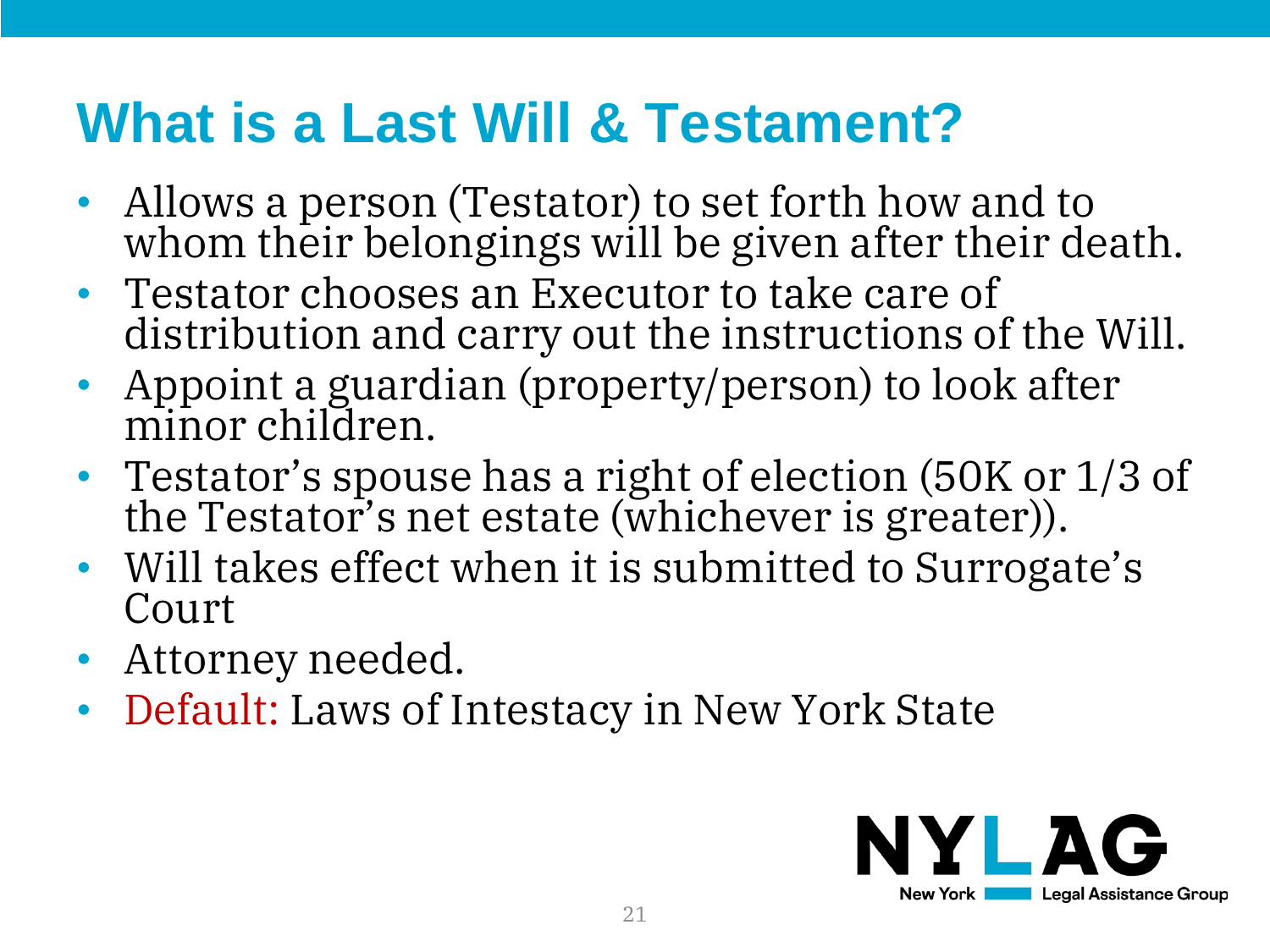#### **What is a Last Will & Testament?**

- Allows a person (Testator) to set forth how and to whom their belongings will be given after their death.
- Testator chooses an Executor to take care of distribution and carry out the instructions of the Will.
- Appoint a guardian (property/person) to look after minor children.
- Testator's spouse has a right of election (50K or 1/3 of the Testator's net estate (whichever is greater)).
- Will takes effect when it is submitted to Surrogate's Court
- Attorney needed.
- Default: Laws of Intestacy in New York State

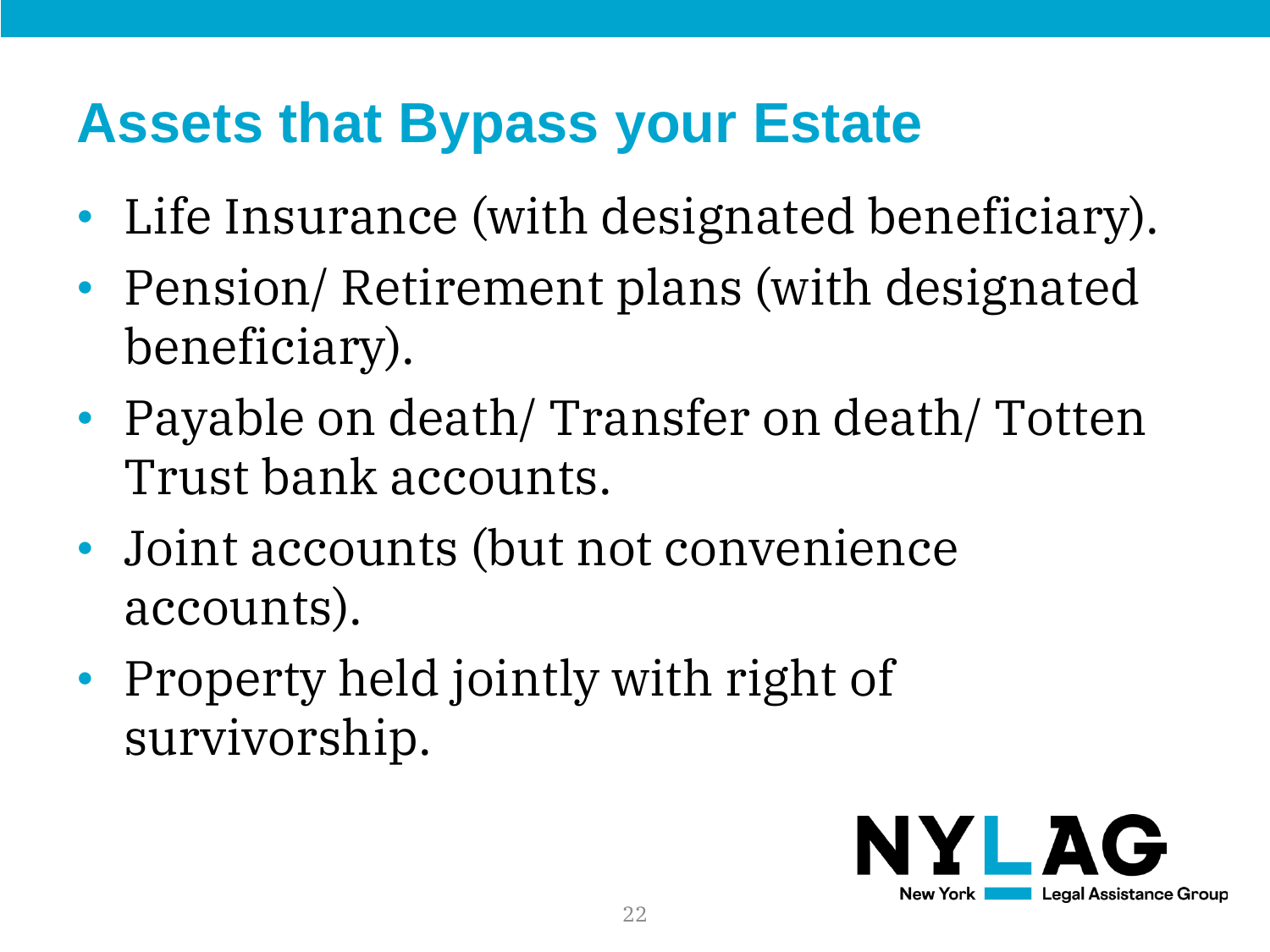### **Assets that Bypass your Estate**

- Life Insurance (with designated beneficiary).
- Pension/ Retirement plans (with designated beneficiary).
- Payable on death/ Transfer on death/ Totten Trust bank accounts.
- Joint accounts (but not convenience accounts).
- Property held jointly with right of survivorship.

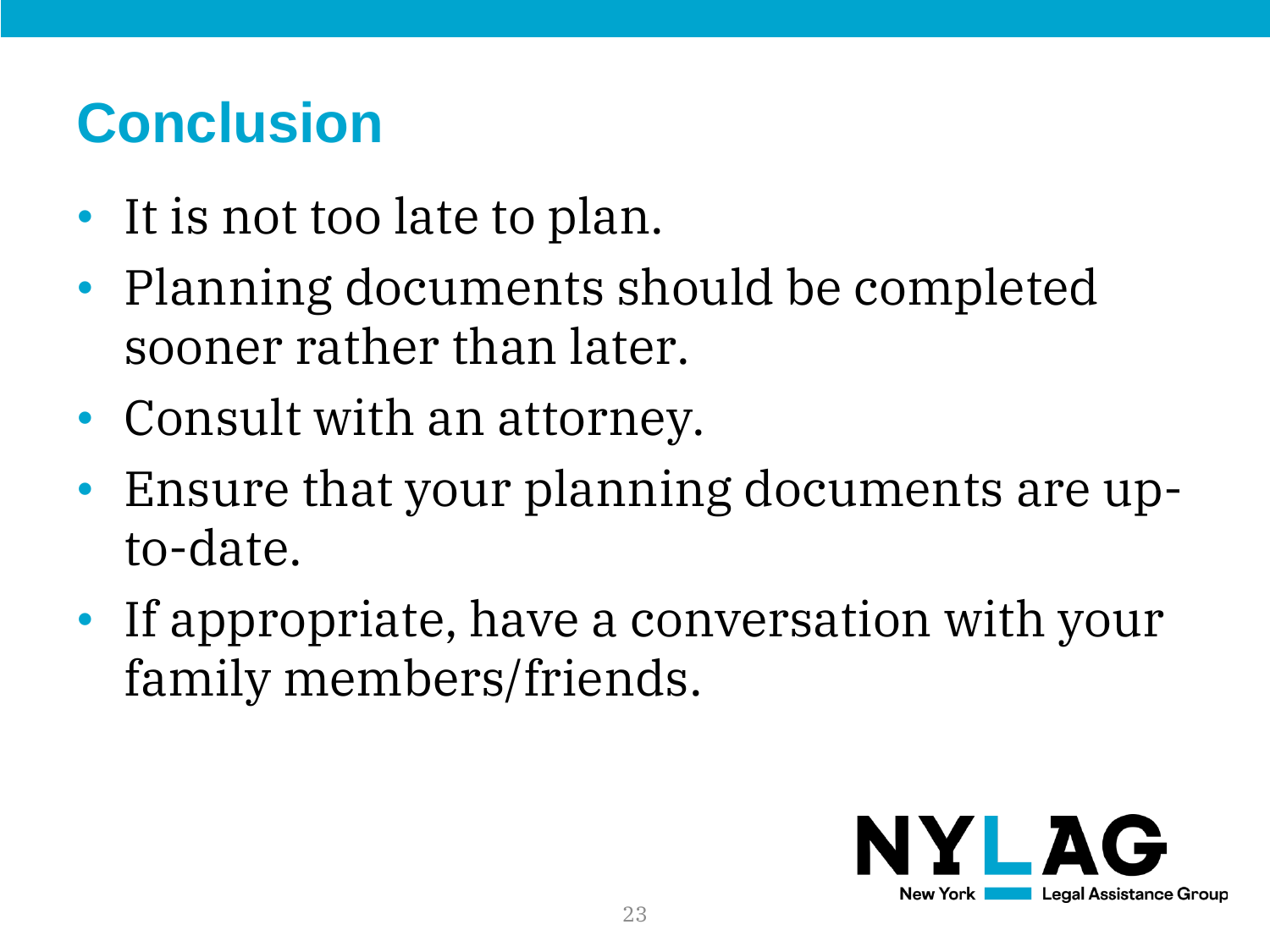### **Conclusion**

- It is not too late to plan.
- Planning documents should be completed sooner rather than later.
- Consult with an attorney.
- Ensure that your planning documents are upto-date.
- If appropriate, have a conversation with your family members/friends.

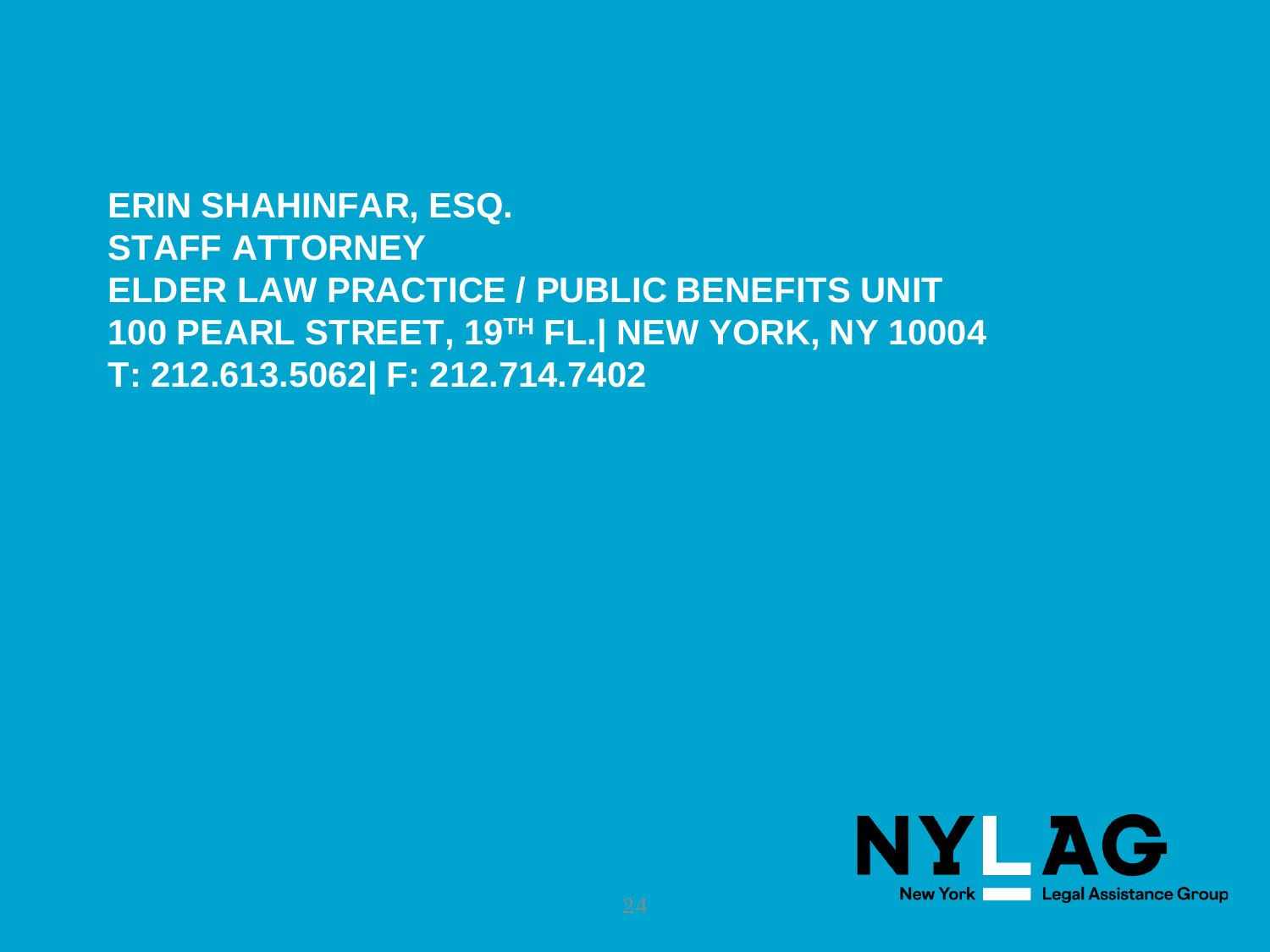**ERIN SHAHINFAR, ESQ. STAFF ATTORNEY ELDER LAW PRACTICE / PUBLIC BENEFITS UNIT 100 PEARL STREET, 19TH FL.| NEW YORK, NY 10004 T: 212.613.5062| F: 212.714.7402**